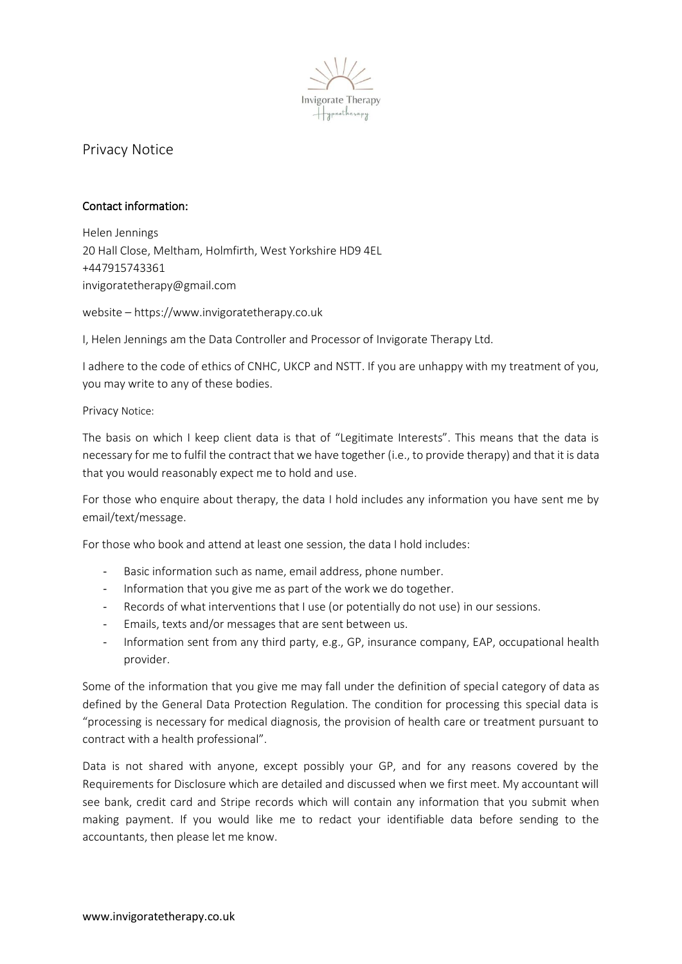

# Privacy Notice

### Contact information:

Helen Jennings 20 Hall Close, Meltham, Holmfirth, West Yorkshire HD9 4EL +447915743361 invigoratetherapy@gmail.com

website – https://www.invigoratetherapy.co.uk

I, Helen Jennings am the Data Controller and Processor of Invigorate Therapy Ltd.

I adhere to the code of ethics of CNHC, UKCP and NSTT. If you are unhappy with my treatment of you, you may write to any of these bodies.

#### Privacy Notice:

The basis on which I keep client data is that of "Legitimate Interests". This means that the data is necessary for me to fulfil the contract that we have together (i.e., to provide therapy) and that it is data that you would reasonably expect me to hold and use.

For those who enquire about therapy, the data I hold includes any information you have sent me by email/text/message.

For those who book and attend at least one session, the data I hold includes:

- Basic information such as name, email address, phone number.
- Information that you give me as part of the work we do together.
- Records of what interventions that I use (or potentially do not use) in our sessions.
- Emails, texts and/or messages that are sent between us.
- Information sent from any third party, e.g., GP, insurance company, EAP, occupational health provider.

Some of the information that you give me may fall under the definition of special category of data as defined by the General Data Protection Regulation. The condition for processing this special data is "processing is necessary for medical diagnosis, the provision of health care or treatment pursuant to contract with a health professional".

Data is not shared with anyone, except possibly your GP, and for any reasons covered by the Requirements for Disclosure which are detailed and discussed when we first meet. My accountant will see bank, credit card and Stripe records which will contain any information that you submit when making payment. If you would like me to redact your identifiable data before sending to the accountants, then please let me know.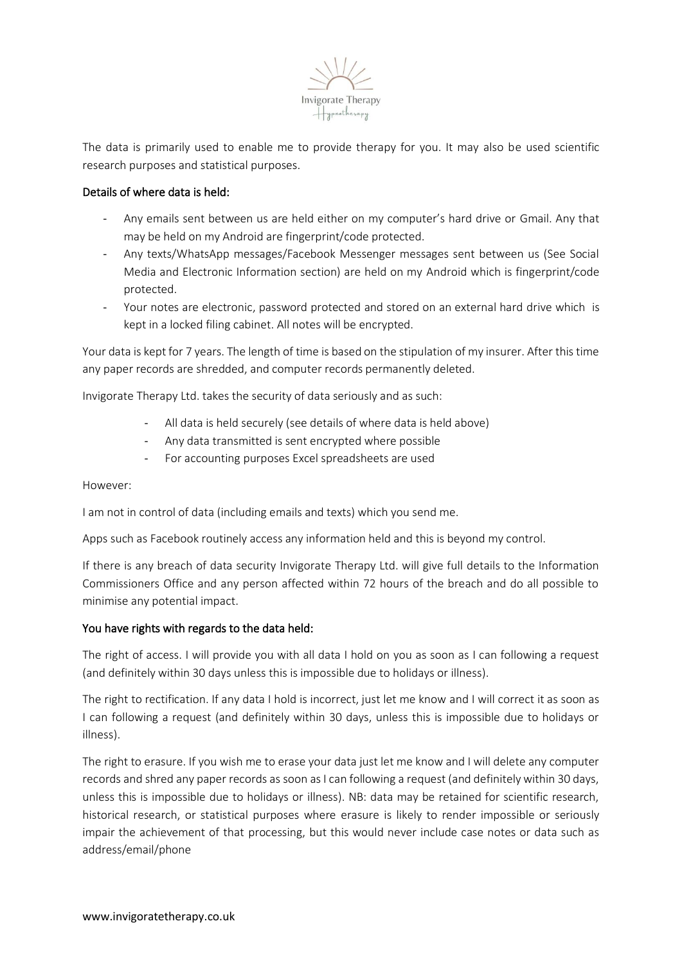

The data is primarily used to enable me to provide therapy for you. It may also be used scientific research purposes and statistical purposes.

## Details of where data is held:

- Any emails sent between us are held either on my computer's hard drive or Gmail. Any that may be held on my Android are fingerprint/code protected.
- Any texts/WhatsApp messages/Facebook Messenger messages sent between us (See Social Media and Electronic Information section) are held on my Android which is fingerprint/code protected.
- Your notes are electronic, password protected and stored on an external hard drive which is kept in a locked filing cabinet. All notes will be encrypted.

Your data is kept for 7 years. The length of time is based on the stipulation of my insurer. After this time any paper records are shredded, and computer records permanently deleted.

Invigorate Therapy Ltd. takes the security of data seriously and as such:

- All data is held securely (see details of where data is held above)
- Any data transmitted is sent encrypted where possible
- For accounting purposes Excel spreadsheets are used

However:

I am not in control of data (including emails and texts) which you send me.

Apps such as Facebook routinely access any information held and this is beyond my control.

If there is any breach of data security Invigorate Therapy Ltd. will give full details to the Information Commissioners Office and any person affected within 72 hours of the breach and do all possible to minimise any potential impact.

#### You have rights with regards to the data held:

The right of access. I will provide you with all data I hold on you as soon as I can following a request (and definitely within 30 days unless this is impossible due to holidays or illness).

The right to rectification. If any data I hold is incorrect, just let me know and I will correct it as soon as I can following a request (and definitely within 30 days, unless this is impossible due to holidays or illness).

The right to erasure. If you wish me to erase your data just let me know and I will delete any computer records and shred any paper records as soon as I can following a request (and definitely within 30 days, unless this is impossible due to holidays or illness). NB: data may be retained for scientific research, historical research, or statistical purposes where erasure is likely to render impossible or seriously impair the achievement of that processing, but this would never include case notes or data such as address/email/phone